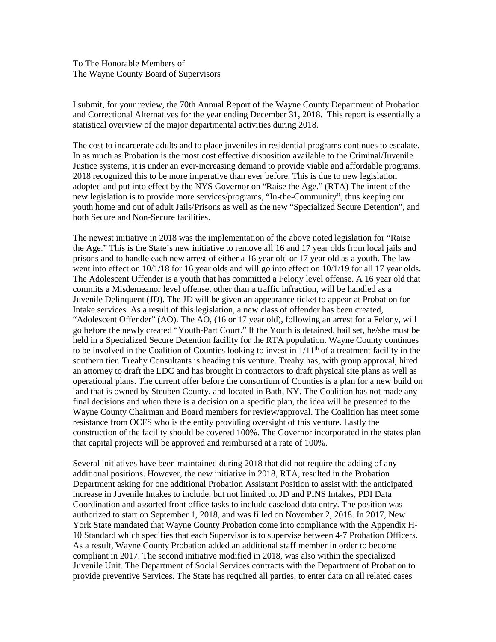To The Honorable Members of The Wayne County Board of Supervisors

I submit, for your review, the 70th Annual Report of the Wayne County Department of Probation and Correctional Alternatives for the year ending December 31, 2018. This report is essentially a statistical overview of the major departmental activities during 2018.

The cost to incarcerate adults and to place juveniles in residential programs continues to escalate. In as much as Probation is the most cost effective disposition available to the Criminal/Juvenile Justice systems, it is under an ever-increasing demand to provide viable and affordable programs. 2018 recognized this to be more imperative than ever before. This is due to new legislation adopted and put into effect by the NYS Governor on "Raise the Age." (RTA) The intent of the new legislation is to provide more services/programs, "In-the-Community", thus keeping our youth home and out of adult Jails/Prisons as well as the new "Specialized Secure Detention", and both Secure and Non-Secure facilities.

The newest initiative in 2018 was the implementation of the above noted legislation for "Raise the Age." This is the State's new initiative to remove all 16 and 17 year olds from local jails and prisons and to handle each new arrest of either a 16 year old or 17 year old as a youth. The law went into effect on  $10/1/18$  for 16 year olds and will go into effect on  $10/1/19$  for all 17 year olds. The Adolescent Offender is a youth that has committed a Felony level offense. A 16 year old that commits a Misdemeanor level offense, other than a traffic infraction, will be handled as a Juvenile Delinquent (JD). The JD will be given an appearance ticket to appear at Probation for Intake services. As a result of this legislation, a new class of offender has been created, "Adolescent Offender" (AO). The AO, (16 or 17 year old), following an arrest for a Felony, will go before the newly created "Youth-Part Court." If the Youth is detained, bail set, he/she must be held in a Specialized Secure Detention facility for the RTA population. Wayne County continues to be involved in the Coalition of Counties looking to invest in  $1/11<sup>th</sup>$  of a treatment facility in the southern tier. Treahy Consultants is heading this venture. Treahy has, with group approval, hired an attorney to draft the LDC and has brought in contractors to draft physical site plans as well as operational plans. The current offer before the consortium of Counties is a plan for a new build on land that is owned by Steuben County, and located in Bath, NY. The Coalition has not made any final decisions and when there is a decision on a specific plan, the idea will be presented to the Wayne County Chairman and Board members for review/approval. The Coalition has meet some resistance from OCFS who is the entity providing oversight of this venture. Lastly the construction of the facility should be covered 100%. The Governor incorporated in the states plan that capital projects will be approved and reimbursed at a rate of 100%.

Several initiatives have been maintained during 2018 that did not require the adding of any additional positions. However, the new initiative in 2018, RTA, resulted in the Probation Department asking for one additional Probation Assistant Position to assist with the anticipated increase in Juvenile Intakes to include, but not limited to, JD and PINS Intakes, PDI Data Coordination and assorted front office tasks to include caseload data entry. The position was authorized to start on September 1, 2018, and was filled on November 2, 2018. In 2017, New York State mandated that Wayne County Probation come into compliance with the Appendix H-10 Standard which specifies that each Supervisor is to supervise between 4-7 Probation Officers. As a result, Wayne County Probation added an additional staff member in order to become compliant in 2017. The second initiative modified in 2018, was also within the specialized Juvenile Unit. The Department of Social Services contracts with the Department of Probation to provide preventive Services. The State has required all parties, to enter data on all related cases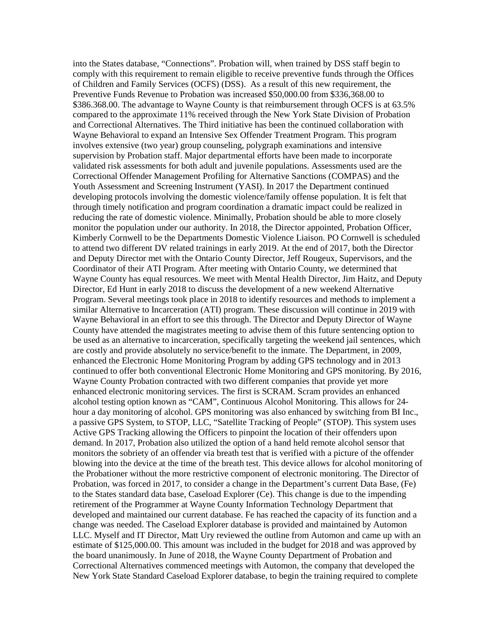into the States database, "Connections". Probation will, when trained by DSS staff begin to comply with this requirement to remain eligible to receive preventive funds through the Offices of Children and Family Services (OCFS) (DSS). As a result of this new requirement, the Preventive Funds Revenue to Probation was increased \$50,000.00 from \$336,368.00 to \$386,368.00. The advantage to Wayne County is that reimbursement through OCFS is at 63.5% compared to the approximate 11% received through the New York State Division of Probation and Correctional Alternatives. The Third initiative has been the continued collaboration with Wayne Behavioral to expand an Intensive Sex Offender Treatment Program. This program involves extensive (two year) group counseling, polygraph examinations and intensive supervision by Probation staff. Major departmental efforts have been made to incorporate validated risk assessments for both adult and juvenile populations. Assessments used are the Correctional Offender Management Profiling for Alternative Sanctions (COMPAS) and the Youth Assessment and Screening Instrument (YASI). In 2017 the Department continued developing protocols involving the domestic violence/family offense population. It is felt that through timely notification and program coordination a dramatic impact could be realized in reducing the rate of domestic violence. Minimally, Probation should be able to more closely monitor the population under our authority. In 2018, the Director appointed, Probation Officer, Kimberly Cornwell to be the Departments Domestic Violence Liaison. PO Cornwell is scheduled to attend two different DV related trainings in early 2019. At the end of 2017, both the Director and Deputy Director met with the Ontario County Director, Jeff Rougeux, Supervisors, and the Coordinator of their ATI Program. After meeting with Ontario County, we determined that Wayne County has equal resources. We meet with Mental Health Director, Jim Haitz, and Deputy Director, Ed Hunt in early 2018 to discuss the development of a new weekend Alternative Program. Several meetings took place in 2018 to identify resources and methods to implement a similar Alternative to Incarceration (ATI) program. These discussion will continue in 2019 with Wayne Behavioral in an effort to see this through. The Director and Deputy Director of Wayne County have attended the magistrates meeting to advise them of this future sentencing option to be used as an alternative to incarceration, specifically targeting the weekend jail sentences, which are costly and provide absolutely no service/benefit to the inmate. The Department, in 2009, enhanced the Electronic Home Monitoring Program by adding GPS technology and in 2013 continued to offer both conventional Electronic Home Monitoring and GPS monitoring. By 2016, Wayne County Probation contracted with two different companies that provide yet more enhanced electronic monitoring services. The first is SCRAM. Scram provides an enhanced alcohol testing option known as "CAM", Continuous Alcohol Monitoring. This allows for 24 hour a day monitoring of alcohol. GPS monitoring was also enhanced by switching from BI Inc., a passive GPS System, to STOP, LLC, "Satellite Tracking of People" (STOP). This system uses Active GPS Tracking allowing the Officers to pinpoint the location of their offenders upon demand. In 2017, Probation also utilized the option of a hand held remote alcohol sensor that monitors the sobriety of an offender via breath test that is verified with a picture of the offender blowing into the device at the time of the breath test. This device allows for alcohol monitoring of the Probationer without the more restrictive component of electronic monitoring. The Director of Probation, was forced in 2017, to consider a change in the Department's current Data Base, (Fe) to the States standard data base, Caseload Explorer (Ce). This change is due to the impending retirement of the Programmer at Wayne County Information Technology Department that developed and maintained our current database. Fe has reached the capacity of its function and a change was needed. The Caseload Explorer database is provided and maintained by Automon LLC. Myself and IT Director, Matt Ury reviewed the outline from Automon and came up with an estimate of \$125,000.00. This amount was included in the budget for 2018 and was approved by the board unanimously. In June of 2018, the Wayne County Department of Probation and Correctional Alternatives commenced meetings with Automon, the company that developed the New York State Standard Caseload Explorer database, to begin the training required to complete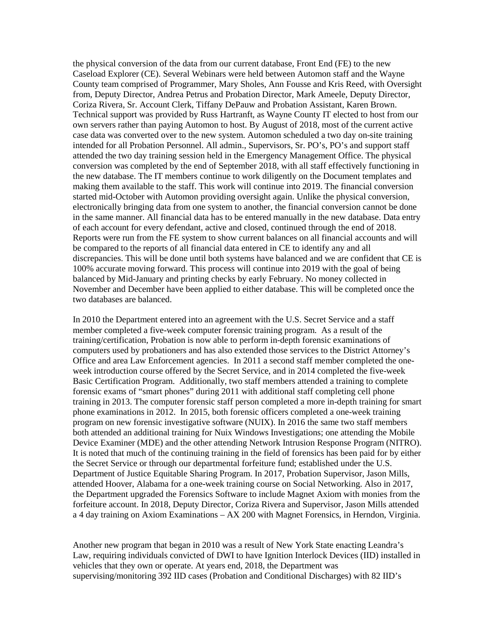the physical conversion of the data from our current database, Front End (FE) to the new Caseload Explorer (CE). Several Webinars were held between Automon staff and the Wayne County team comprised of Programmer, Mary Sholes, Ann Fousse and Kris Reed, with Oversight from, Deputy Director, Andrea Petrus and Probation Director, Mark Ameele, Deputy Director, Coriza Rivera, Sr. Account Clerk, Tiffany DePauw and Probation Assistant, Karen Brown. Technical support was provided by Russ Hartranft, as Wayne County IT elected to host from our own servers rather than paying Automon to host. By August of 2018, most of the current active case data was converted over to the new system. Automon scheduled a two day on-site training intended for all Probation Personnel. All admin., Supervisors, Sr. PO's, PO's and support staff attended the two day training session held in the Emergency Management Office. The physical conversion was completed by the end of September 2018, with all staff effectively functioning in the new database. The IT members continue to work diligently on the Document templates and making them available to the staff. This work will continue into 2019. The financial conversion started mid-October with Automon providing oversight again. Unlike the physical conversion, electronically bringing data from one system to another, the financial conversion cannot be done in the same manner. All financial data has to be entered manually in the new database. Data entry of each account for every defendant, active and closed, continued through the end of 2018. Reports were run from the FE system to show current balances on all financial accounts and will be compared to the reports of all financial data entered in CE to identify any and all discrepancies. This will be done until both systems have balanced and we are confident that CE is 100% accurate moving forward. This process will continue into 2019 with the goal of being balanced by Mid-January and printing checks by early February. No money collected in November and December have been applied to either database. This will be completed once the two databases are balanced.

In 2010 the Department entered into an agreement with the U.S. Secret Service and a staff member completed a five-week computer forensic training program. As a result of the training/certification, Probation is now able to perform in-depth forensic examinations of computers used by probationers and has also extended those services to the District Attorney's Office and area Law Enforcement agencies. In 2011 a second staff member completed the oneweek introduction course offered by the Secret Service, and in 2014 completed the five-week Basic Certification Program. Additionally, two staff members attended a training to complete forensic exams of "smart phones" during 2011 with additional staff completing cell phone training in 2013. The computer forensic staff person completed a more in-depth training for smart phone examinations in 2012. In 2015, both forensic officers completed a one-week training program on new forensic investigative software (NUIX). In 2016 the same two staff members both attended an additional training for Nuix Windows Investigations; one attending the Mobile Device Examiner (MDE) and the other attending Network Intrusion Response Program (NITRO). It is noted that much of the continuing training in the field of forensics has been paid for by either the Secret Service or through our departmental forfeiture fund; established under the U.S. Department of Justice Equitable Sharing Program. In 2017, Probation Supervisor, Jason Mills, attended Hoover, Alabama for a one-week training course on Social Networking. Also in 2017, the Department upgraded the Forensics Software to include Magnet Axiom with monies from the forfeiture account. In 2018, Deputy Director, Coriza Rivera and Supervisor, Jason Mills attended a 4 day training on Axiom Examinations – AX 200 with Magnet Forensics, in Herndon, Virginia.

Another new program that began in 2010 was a result of New York State enacting Leandra's Law, requiring individuals convicted of DWI to have Ignition Interlock Devices (IID) installed in vehicles that they own or operate. At years end, 2018, the Department was supervising/monitoring 392 IID cases (Probation and Conditional Discharges) with 82 IID's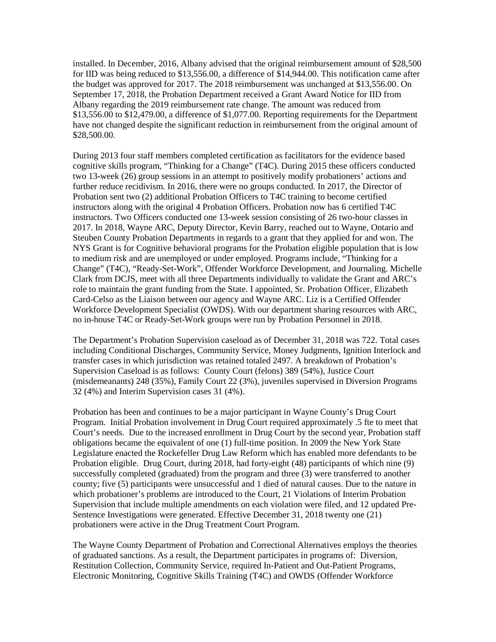installed. In December, 2016, Albany advised that the original reimbursement amount of \$28,500 for IID was being reduced to \$13,556.00, a difference of \$14,944.00. This notification came after the budget was approved for 2017. The 2018 reimbursement was unchanged at \$13,556.00. On September 17, 2018, the Probation Department received a Grant Award Notice for IID from Albany regarding the 2019 reimbursement rate change. The amount was reduced from \$13,556.00 to \$12,479.00, a difference of \$1,077.00. Reporting requirements for the Department have not changed despite the significant reduction in reimbursement from the original amount of \$28,500.00.

During 2013 four staff members completed certification as facilitators for the evidence based cognitive skills program, "Thinking for a Change" (T4C). During 2015 these officers conducted two 13-week (26) group sessions in an attempt to positively modify probationers' actions and further reduce recidivism. In 2016, there were no groups conducted. In 2017, the Director of Probation sent two (2) additional Probation Officers to T4C training to become certified instructors along with the original 4 Probation Officers. Probation now has 6 certified T4C instructors. Two Officers conducted one 13-week session consisting of 26 two-hour classes in 2017. In 2018, Wayne ARC, Deputy Director, Kevin Barry, reached out to Wayne, Ontario and Steuben County Probation Departments in regards to a grant that they applied for and won. The NYS Grant is for Cognitive behavioral programs for the Probation eligible population that is low to medium risk and are unemployed or under employed. Programs include, "Thinking for a Change" (T4C), "Ready-Set-Work", Offender Workforce Development, and Journaling. Michelle Clark from DCJS, meet with all three Departments individually to validate the Grant and ARC's role to maintain the grant funding from the State. I appointed, Sr. Probation Officer, Elizabeth Card-Celso as the Liaison between our agency and Wayne ARC. Liz is a Certified Offender Workforce Development Specialist (OWDS). With our department sharing resources with ARC, no in-house T4C or Ready-Set-Work groups were run by Probation Personnel in 2018.

The Department's Probation Supervision caseload as of December 31, 2018 was 722. Total cases including Conditional Discharges, Community Service, Money Judgments, Ignition Interlock and transfer cases in which jurisdiction was retained totaled 2497. A breakdown of Probation's Supervision Caseload is as follows: County Court (felons) 389 (54%), Justice Court (misdemeanants) 248 (35%), Family Court 22 (3%), juveniles supervised in Diversion Programs 32 (4%) and Interim Supervision cases 31 (4%).

Probation has been and continues to be a major participant in Wayne County's Drug Court Program. Initial Probation involvement in Drug Court required approximately .5 fte to meet that Court's needs. Due to the increased enrollment in Drug Court by the second year, Probation staff obligations became the equivalent of one (1) full-time position. In 2009 the New York State Legislature enacted the Rockefeller Drug Law Reform which has enabled more defendants to be Probation eligible. Drug Court, during 2018, had forty-eight (48) participants of which nine (9) successfully completed (graduated) from the program and three (3) were transferred to another county; five (5) participants were unsuccessful and 1 died of natural causes. Due to the nature in which probationer's problems are introduced to the Court, 21 Violations of Interim Probation Supervision that include multiple amendments on each violation were filed, and 12 updated Pre-Sentence Investigations were generated. Effective December 31, 2018 twenty one (21) probationers were active in the Drug Treatment Court Program.

The Wayne County Department of Probation and Correctional Alternatives employs the theories of graduated sanctions. As a result, the Department participates in programs of: Diversion, Restitution Collection, Community Service, required In-Patient and Out-Patient Programs, Electronic Monitoring, Cognitive Skills Training (T4C) and OWDS (Offender Workforce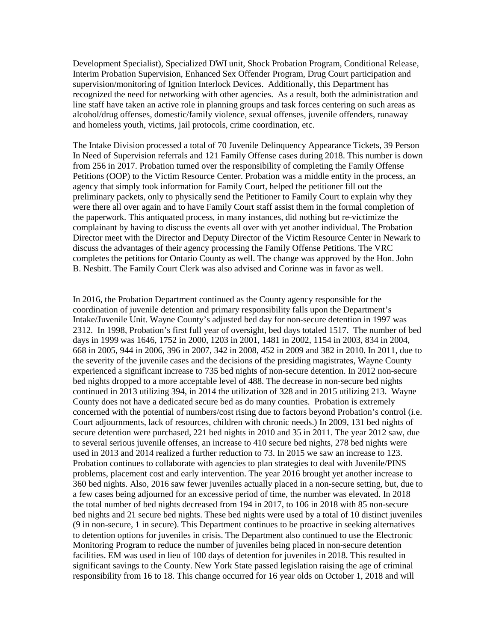Development Specialist), Specialized DWI unit, Shock Probation Program, Conditional Release, Interim Probation Supervision, Enhanced Sex Offender Program, Drug Court participation and supervision/monitoring of Ignition Interlock Devices. Additionally, this Department has recognized the need for networking with other agencies. As a result, both the administration and line staff have taken an active role in planning groups and task forces centering on such areas as alcohol/drug offenses, domestic/family violence, sexual offenses, juvenile offenders, runaway and homeless youth, victims, jail protocols, crime coordination, etc.

The Intake Division processed a total of 70 Juvenile Delinquency Appearance Tickets, 39 Person In Need of Supervision referrals and 121 Family Offense cases during 2018. This number is down from 256 in 2017. Probation turned over the responsibility of completing the Family Offense Petitions (OOP) to the Victim Resource Center. Probation was a middle entity in the process, an agency that simply took information for Family Court, helped the petitioner fill out the preliminary packets, only to physically send the Petitioner to Family Court to explain why they were there all over again and to have Family Court staff assist them in the formal completion of the paperwork. This antiquated process, in many instances, did nothing but re-victimize the complainant by having to discuss the events all over with yet another individual. The Probation Director meet with the Director and Deputy Director of the Victim Resource Center in Newark to discuss the advantages of their agency processing the Family Offense Petitions. The VRC completes the petitions for Ontario County as well. The change was approved by the Hon. John B. Nesbitt. The Family Court Clerk was also advised and Corinne was in favor as well.

In 2016, the Probation Department continued as the County agency responsible for the coordination of juvenile detention and primary responsibility falls upon the Department's Intake/Juvenile Unit. Wayne County's adjusted bed day for non-secure detention in 1997 was 2312. In 1998, Probation's first full year of oversight, bed days totaled 1517. The number of bed days in 1999 was 1646, 1752 in 2000, 1203 in 2001, 1481 in 2002, 1154 in 2003, 834 in 2004, 668 in 2005, 944 in 2006, 396 in 2007, 342 in 2008, 452 in 2009 and 382 in 2010. In 2011, due to the severity of the juvenile cases and the decisions of the presiding magistrates, Wayne County experienced a significant increase to 735 bed nights of non-secure detention. In 2012 non-secure bed nights dropped to a more acceptable level of 488. The decrease in non-secure bed nights continued in 2013 utilizing 394, in 2014 the utilization of 328 and in 2015 utilizing 213. Wayne County does not have a dedicated secure bed as do many counties. Probation is extremely concerned with the potential of numbers/cost rising due to factors beyond Probation's control (i.e. Court adjournments, lack of resources, children with chronic needs.) In 2009, 131 bed nights of secure detention were purchased, 221 bed nights in 2010 and 35 in 2011. The year 2012 saw, due to several serious juvenile offenses, an increase to 410 secure bed nights, 278 bed nights were used in 2013 and 2014 realized a further reduction to 73. In 2015 we saw an increase to 123. Probation continues to collaborate with agencies to plan strategies to deal with Juvenile/PINS problems, placement cost and early intervention. The year 2016 brought yet another increase to 360 bed nights. Also, 2016 saw fewer juveniles actually placed in a non-secure setting, but, due to a few cases being adjourned for an excessive period of time, the number was elevated. In 2018 the total number of bed nights decreased from 194 in 2017, to 106 in 2018 with 85 non-secure bed nights and 21 secure bed nights. These bed nights were used by a total of 10 distinct juveniles (9 in non-secure, 1 in secure). This Department continues to be proactive in seeking alternatives to detention options for juveniles in crisis. The Department also continued to use the Electronic Monitoring Program to reduce the number of juveniles being placed in non-secure detention facilities. EM was used in lieu of 100 days of detention for juveniles in 2018. This resulted in significant savings to the County. New York State passed legislation raising the age of criminal responsibility from 16 to 18. This change occurred for 16 year olds on October 1, 2018 and will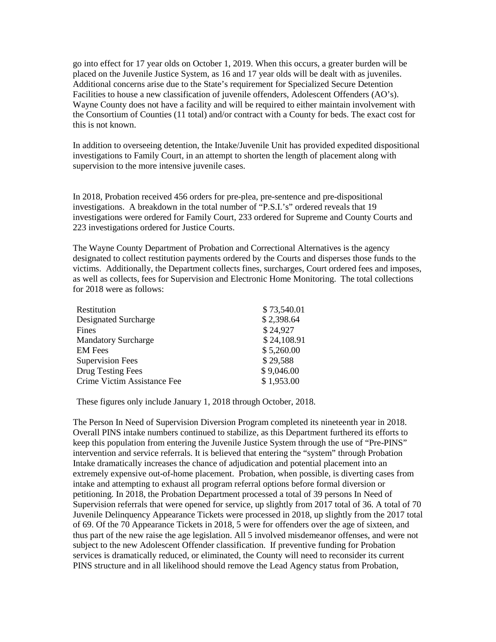go into effect for 17 year olds on October 1, 2019. When this occurs, a greater burden will be placed on the Juvenile Justice System, as 16 and 17 year olds will be dealt with as juveniles. Additional concerns arise due to the State's requirement for Specialized Secure Detention Facilities to house a new classification of juvenile offenders, Adolescent Offenders (AO's). Wayne County does not have a facility and will be required to either maintain involvement with the Consortium of Counties (11 total) and/or contract with a County for beds. The exact cost for this is not known.

In addition to overseeing detention, the Intake/Juvenile Unit has provided expedited dispositional investigations to Family Court, in an attempt to shorten the length of placement along with supervision to the more intensive juvenile cases.

In 2018, Probation received 456 orders for pre-plea, pre-sentence and pre-dispositional investigations. A breakdown in the total number of "P.S.I.'s" ordered reveals that 19 investigations were ordered for Family Court, 233 ordered for Supreme and County Courts and 223 investigations ordered for Justice Courts.

The Wayne County Department of Probation and Correctional Alternatives is the agency designated to collect restitution payments ordered by the Courts and disperses those funds to the victims. Additionally, the Department collects fines, surcharges, Court ordered fees and imposes, as well as collects, fees for Supervision and Electronic Home Monitoring. The total collections for 2018 were as follows:

| Restitution                 | \$73,540.01 |
|-----------------------------|-------------|
| Designated Surcharge        | \$2,398.64  |
| Fines                       | \$24,927    |
| <b>Mandatory Surcharge</b>  | \$24,108.91 |
| <b>EM</b> Fees              | \$5,260.00  |
| <b>Supervision Fees</b>     | \$29,588    |
| Drug Testing Fees           | \$9,046.00  |
| Crime Victim Assistance Fee | \$1,953.00  |

These figures only include January 1, 2018 through October, 2018.

The Person In Need of Supervision Diversion Program completed its nineteenth year in 2018. Overall PINS intake numbers continued to stabilize, as this Department furthered its efforts to keep this population from entering the Juvenile Justice System through the use of "Pre-PINS" intervention and service referrals. It is believed that entering the "system" through Probation Intake dramatically increases the chance of adjudication and potential placement into an extremely expensive out-of-home placement. Probation, when possible, is diverting cases from intake and attempting to exhaust all program referral options before formal diversion or petitioning. In 2018, the Probation Department processed a total of 39 persons In Need of Supervision referrals that were opened for service, up slightly from 2017 total of 36. A total of 70 Juvenile Delinquency Appearance Tickets were processed in 2018, up slightly from the 2017 total of 69. Of the 70 Appearance Tickets in 2018, 5 were for offenders over the age of sixteen, and thus part of the new raise the age legislation. All 5 involved misdemeanor offenses, and were not subject to the new Adolescent Offender classification. If preventive funding for Probation services is dramatically reduced, or eliminated, the County will need to reconsider its current PINS structure and in all likelihood should remove the Lead Agency status from Probation,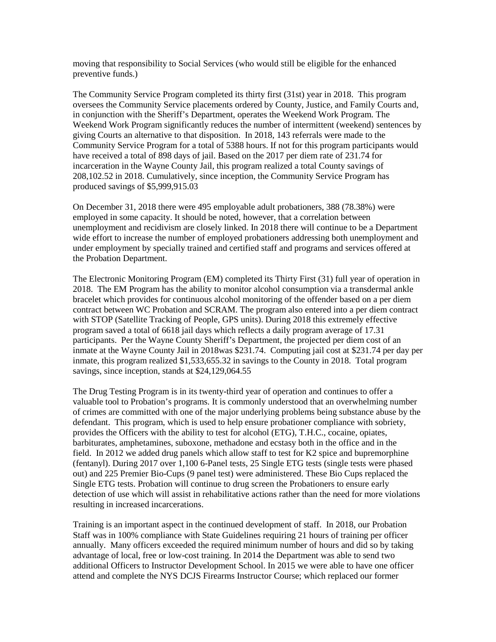moving that responsibility to Social Services (who would still be eligible for the enhanced preventive funds.)

The Community Service Program completed its thirty first (31st) year in 2018. This program oversees the Community Service placements ordered by County, Justice, and Family Courts and, in conjunction with the Sheriff's Department, operates the Weekend Work Program. The Weekend Work Program significantly reduces the number of intermittent (weekend) sentences by giving Courts an alternative to that disposition. In 2018, 143 referrals were made to the Community Service Program for a total of 5388 hours. If not for this program participants would have received a total of 898 days of jail. Based on the 2017 per diem rate of 231.74 for incarceration in the Wayne County Jail, this program realized a total County savings of 208,102.52 in 2018. Cumulatively, since inception, the Community Service Program has produced savings of \$5,999,915.03

On December 31, 2018 there were 495 employable adult probationers, 388 (78.38%) were employed in some capacity. It should be noted, however, that a correlation between unemployment and recidivism are closely linked. In 2018 there will continue to be a Department wide effort to increase the number of employed probationers addressing both unemployment and under employment by specially trained and certified staff and programs and services offered at the Probation Department.

The Electronic Monitoring Program (EM) completed its Thirty First (31) full year of operation in 2018. The EM Program has the ability to monitor alcohol consumption via a transdermal ankle bracelet which provides for continuous alcohol monitoring of the offender based on a per diem contract between WC Probation and SCRAM. The program also entered into a per diem contract with STOP (Satellite Tracking of People, GPS units). During 2018 this extremely effective program saved a total of 6618 jail days which reflects a daily program average of 17.31 participants. Per the Wayne County Sheriff's Department, the projected per diem cost of an inmate at the Wayne County Jail in 2018was \$231.74. Computing jail cost at \$231.74 per day per inmate, this program realized \$1,533,655.32 in savings to the County in 2018. Total program savings, since inception, stands at \$24,129,064.55

The Drug Testing Program is in its twenty-third year of operation and continues to offer a valuable tool to Probation's programs. It is commonly understood that an overwhelming number of crimes are committed with one of the major underlying problems being substance abuse by the defendant. This program, which is used to help ensure probationer compliance with sobriety, provides the Officers with the ability to test for alcohol (ETG), T.H.C., cocaine, opiates, barbiturates, amphetamines, suboxone, methadone and ecstasy both in the office and in the field. In 2012 we added drug panels which allow staff to test for K2 spice and bupremorphine (fentanyl). During 2017 over 1,100 6-Panel tests, 25 Single ETG tests (single tests were phased out) and 225 Premier Bio-Cups (9 panel test) were administered. These Bio Cups replaced the Single ETG tests. Probation will continue to drug screen the Probationers to ensure early detection of use which will assist in rehabilitative actions rather than the need for more violations resulting in increased incarcerations.

Training is an important aspect in the continued development of staff. In 2018, our Probation Staff was in 100% compliance with State Guidelines requiring 21 hours of training per officer annually. Many officers exceeded the required minimum number of hours and did so by taking advantage of local, free or low-cost training. In 2014 the Department was able to send two additional Officers to Instructor Development School. In 2015 we were able to have one officer attend and complete the NYS DCJS Firearms Instructor Course; which replaced our former